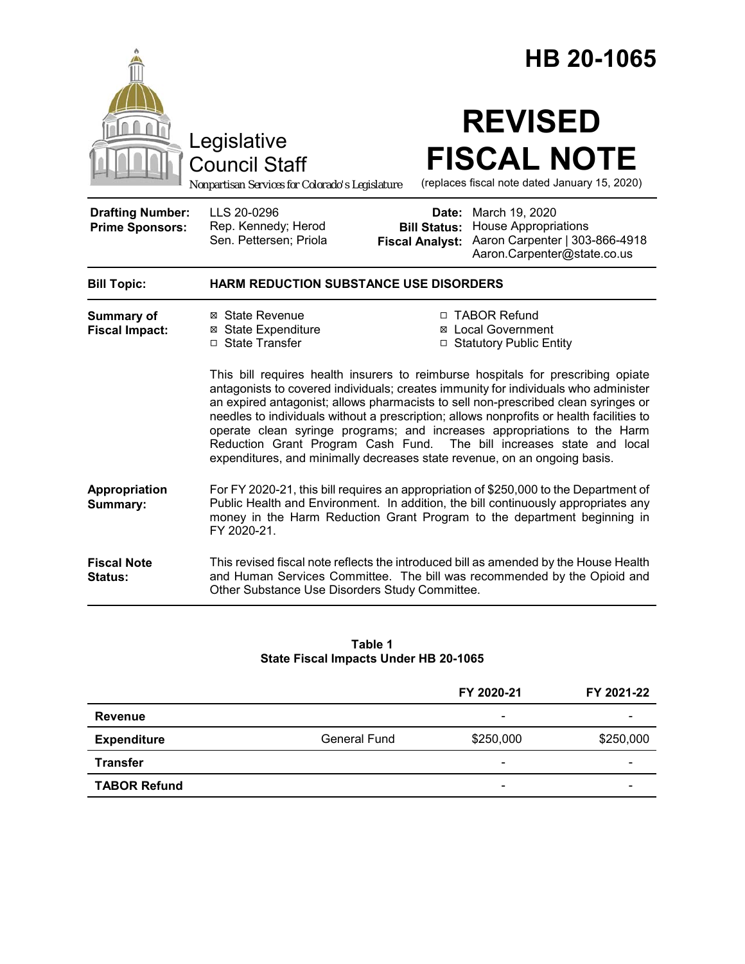|                                                   |                                                                                                                                                                                                                                                                                                                                                                                                                                                                                                                                                                                             | HB 20-1065                                    |                                                                                                                                                                  |  |
|---------------------------------------------------|---------------------------------------------------------------------------------------------------------------------------------------------------------------------------------------------------------------------------------------------------------------------------------------------------------------------------------------------------------------------------------------------------------------------------------------------------------------------------------------------------------------------------------------------------------------------------------------------|-----------------------------------------------|------------------------------------------------------------------------------------------------------------------------------------------------------------------|--|
|                                                   | Legislative<br><b>Council Staff</b><br>Nonpartisan Services for Colorado's Legislature                                                                                                                                                                                                                                                                                                                                                                                                                                                                                                      |                                               | <b>REVISED</b><br><b>FISCAL NOTE</b><br>(replaces fiscal note dated January 15, 2020)                                                                            |  |
| <b>Drafting Number:</b><br><b>Prime Sponsors:</b> | LLS 20-0296<br>Rep. Kennedy; Herod<br>Sen. Pettersen; Priola                                                                                                                                                                                                                                                                                                                                                                                                                                                                                                                                | <b>Bill Status:</b><br><b>Fiscal Analyst:</b> | Date: March 19, 2020<br><b>House Appropriations</b><br>Aaron Carpenter   303-866-4918<br>Aaron.Carpenter@state.co.us                                             |  |
| <b>Bill Topic:</b>                                | <b>HARM REDUCTION SUBSTANCE USE DISORDERS</b>                                                                                                                                                                                                                                                                                                                                                                                                                                                                                                                                               |                                               |                                                                                                                                                                  |  |
| <b>Summary of</b><br><b>Fiscal Impact:</b>        | ⊠ State Revenue<br>⊠ State Expenditure<br>$\Box$ State Transfer                                                                                                                                                                                                                                                                                                                                                                                                                                                                                                                             |                                               | □ TABOR Refund<br>⊠ Local Government<br>□ Statutory Public Entity                                                                                                |  |
|                                                   | This bill requires health insurers to reimburse hospitals for prescribing opiate<br>antagonists to covered individuals; creates immunity for individuals who administer<br>an expired antagonist; allows pharmacists to sell non-prescribed clean syringes or<br>needles to individuals without a prescription; allows nonprofits or health facilities to<br>operate clean syringe programs; and increases appropriations to the Harm<br>Reduction Grant Program Cash Fund. The bill increases state and local<br>expenditures, and minimally decreases state revenue, on an ongoing basis. |                                               |                                                                                                                                                                  |  |
| Appropriation<br>Summary:                         | For FY 2020-21, this bill requires an appropriation of \$250,000 to the Department of<br>Public Health and Environment. In addition, the bill continuously appropriates any<br>money in the Harm Reduction Grant Program to the department beginning in<br>FY 2020-21.                                                                                                                                                                                                                                                                                                                      |                                               |                                                                                                                                                                  |  |
| <b>Fiscal Note</b><br><b>Status:</b>              | Other Substance Use Disorders Study Committee.                                                                                                                                                                                                                                                                                                                                                                                                                                                                                                                                              |                                               | This revised fiscal note reflects the introduced bill as amended by the House Health<br>and Human Services Committee. The bill was recommended by the Opioid and |  |

#### **Table 1 State Fiscal Impacts Under HB 20-1065**

|                     |              | FY 2020-21               | FY 2021-22 |
|---------------------|--------------|--------------------------|------------|
| Revenue             |              | $\qquad \qquad$          |            |
| <b>Expenditure</b>  | General Fund | \$250,000                | \$250,000  |
| <b>Transfer</b>     |              | $\overline{\phantom{0}}$ | -          |
| <b>TABOR Refund</b> |              | $\overline{\phantom{0}}$ | -          |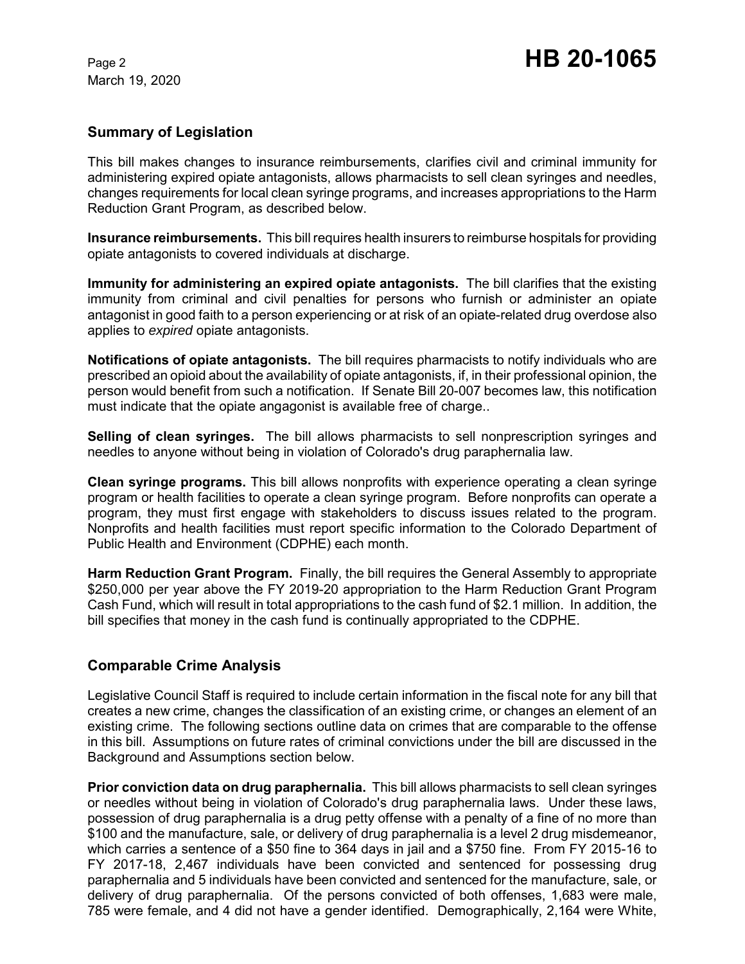# **Summary of Legislation**

This bill makes changes to insurance reimbursements, clarifies civil and criminal immunity for administering expired opiate antagonists, allows pharmacists to sell clean syringes and needles, changes requirements for local clean syringe programs, and increases appropriations to the Harm Reduction Grant Program, as described below.

**Insurance reimbursements.** This bill requires health insurers to reimburse hospitals for providing opiate antagonists to covered individuals at discharge.

**Immunity for administering an expired opiate antagonists.** The bill clarifies that the existing immunity from criminal and civil penalties for persons who furnish or administer an opiate antagonist in good faith to a person experiencing or at risk of an opiate-related drug overdose also applies to *expired* opiate antagonists.

**Notifications of opiate antagonists.** The bill requires pharmacists to notify individuals who are prescribed an opioid about the availability of opiate antagonists, if, in their professional opinion, the person would benefit from such a notification. If Senate Bill 20-007 becomes law, this notification must indicate that the opiate angagonist is available free of charge..

**Selling of clean syringes.** The bill allows pharmacists to sell nonprescription syringes and needles to anyone without being in violation of Colorado's drug paraphernalia law.

**Clean syringe programs.** This bill allows nonprofits with experience operating a clean syringe program or health facilities to operate a clean syringe program. Before nonprofits can operate a program, they must first engage with stakeholders to discuss issues related to the program. Nonprofits and health facilities must report specific information to the Colorado Department of Public Health and Environment (CDPHE) each month.

**Harm Reduction Grant Program.** Finally, the bill requires the General Assembly to appropriate \$250,000 per year above the FY 2019-20 appropriation to the Harm Reduction Grant Program Cash Fund, which will result in total appropriations to the cash fund of \$2.1 million. In addition, the bill specifies that money in the cash fund is continually appropriated to the CDPHE.

# **Comparable Crime Analysis**

Legislative Council Staff is required to include certain information in the fiscal note for any bill that creates a new crime, changes the classification of an existing crime, or changes an element of an existing crime. The following sections outline data on crimes that are comparable to the offense in this bill. Assumptions on future rates of criminal convictions under the bill are discussed in the Background and Assumptions section below.

**Prior conviction data on drug paraphernalia.** This bill allows pharmacists to sell clean syringes or needles without being in violation of Colorado's drug paraphernalia laws. Under these laws, possession of drug paraphernalia is a drug petty offense with a penalty of a fine of no more than \$100 and the manufacture, sale, or delivery of drug paraphernalia is a level 2 drug misdemeanor, which carries a sentence of a \$50 fine to 364 days in jail and a \$750 fine. From FY 2015-16 to FY 2017-18, 2,467 individuals have been convicted and sentenced for possessing drug paraphernalia and 5 individuals have been convicted and sentenced for the manufacture, sale, or delivery of drug paraphernalia. Of the persons convicted of both offenses, 1,683 were male, 785 were female, and 4 did not have a gender identified. Demographically, 2,164 were White,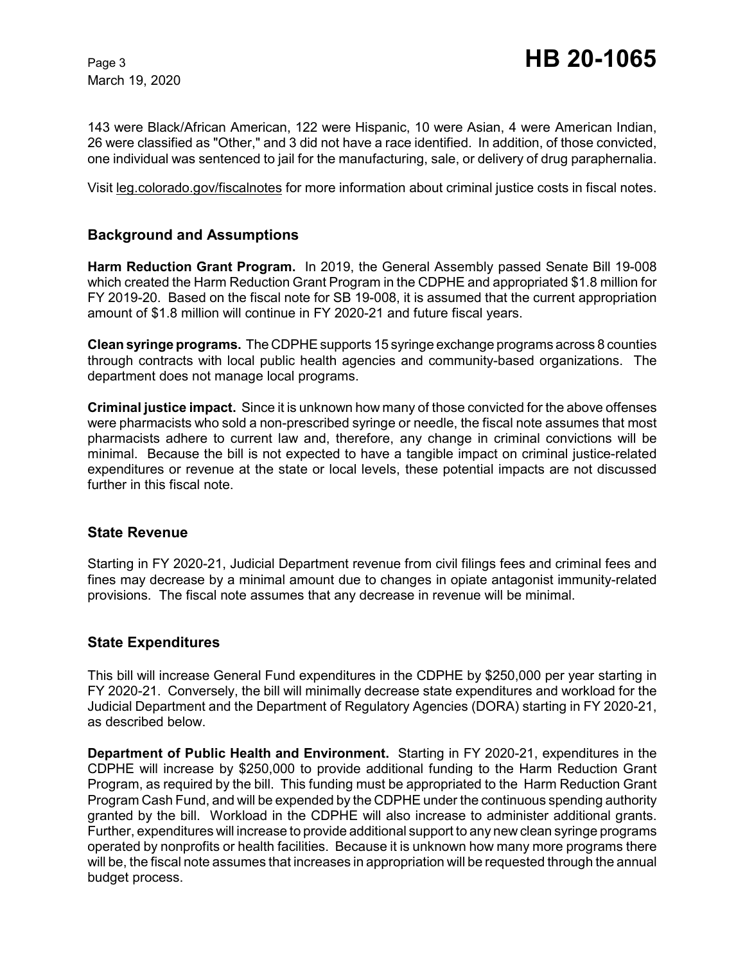143 were Black/African American, 122 were Hispanic, 10 were Asian, 4 were American Indian, 26 were classified as "Other," and 3 did not have a race identified. In addition, of those convicted, one individual was sentenced to jail for the manufacturing, sale, or delivery of drug paraphernalia.

Visit leg.colorado.gov/fiscalnotes for more information about criminal justice costs in fiscal notes.

# **Background and Assumptions**

**Harm Reduction Grant Program.** In 2019, the General Assembly passed Senate Bill 19-008 which created the Harm Reduction Grant Program in the CDPHE and appropriated \$1.8 million for FY 2019-20. Based on the fiscal note for SB 19-008, it is assumed that the current appropriation amount of \$1.8 million will continue in FY 2020-21 and future fiscal years.

**Clean syringe programs.** The CDPHE supports 15 syringe exchange programs across 8 counties through contracts with local public health agencies and community-based organizations. The department does not manage local programs.

**Criminal justice impact.** Since it is unknown how many of those convicted for the above offenses were pharmacists who sold a non-prescribed syringe or needle, the fiscal note assumes that most pharmacists adhere to current law and, therefore, any change in criminal convictions will be minimal. Because the bill is not expected to have a tangible impact on criminal justice-related expenditures or revenue at the state or local levels, these potential impacts are not discussed further in this fiscal note.

## **State Revenue**

Starting in FY 2020-21, Judicial Department revenue from civil filings fees and criminal fees and fines may decrease by a minimal amount due to changes in opiate antagonist immunity-related provisions. The fiscal note assumes that any decrease in revenue will be minimal.

## **State Expenditures**

This bill will increase General Fund expenditures in the CDPHE by \$250,000 per year starting in FY 2020-21. Conversely, the bill will minimally decrease state expenditures and workload for the Judicial Department and the Department of Regulatory Agencies (DORA) starting in FY 2020-21, as described below.

**Department of Public Health and Environment.** Starting in FY 2020-21, expenditures in the CDPHE will increase by \$250,000 to provide additional funding to the Harm Reduction Grant Program, as required by the bill. This funding must be appropriated to the Harm Reduction Grant Program Cash Fund, and will be expended by the CDPHE under the continuous spending authority granted by the bill. Workload in the CDPHE will also increase to administer additional grants. Further, expenditures will increase to provide additional support to any new clean syringe programs operated by nonprofits or health facilities. Because it is unknown how many more programs there will be, the fiscal note assumes that increases in appropriation will be requested through the annual budget process.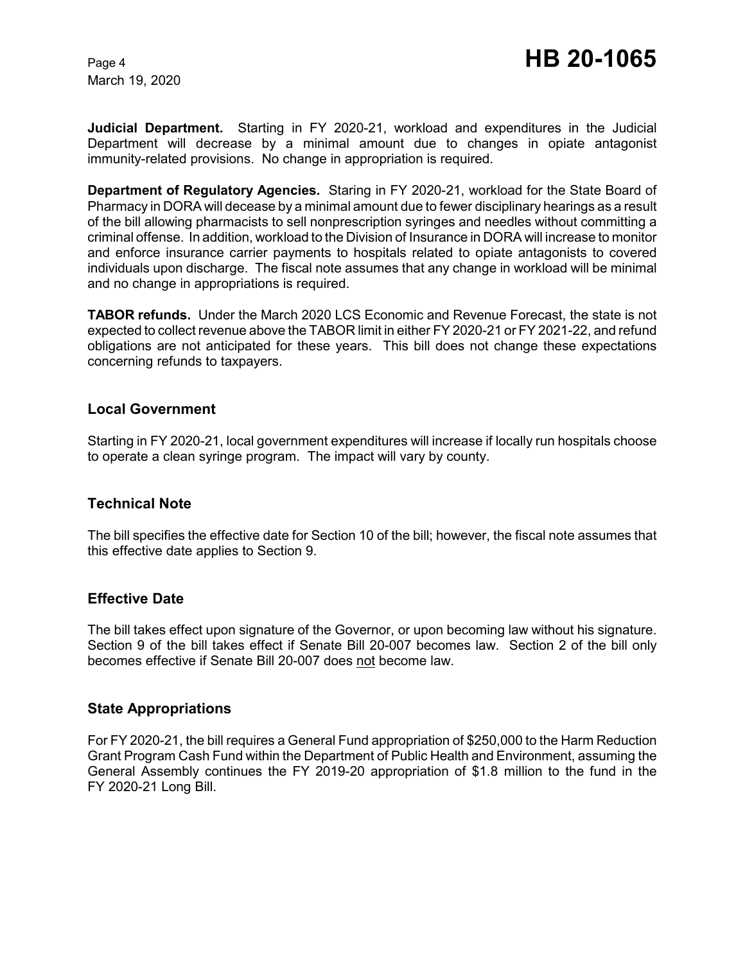**Judicial Department.** Starting in FY 2020-21, workload and expenditures in the Judicial Department will decrease by a minimal amount due to changes in opiate antagonist immunity-related provisions. No change in appropriation is required.

**Department of Regulatory Agencies.** Staring in FY 2020-21, workload for the State Board of Pharmacy in DORA will decease by a minimal amount due to fewer disciplinary hearings as a result of the bill allowing pharmacists to sell nonprescription syringes and needles without committing a criminal offense. In addition, workload to the Division of Insurance in DORA will increase to monitor and enforce insurance carrier payments to hospitals related to opiate antagonists to covered individuals upon discharge. The fiscal note assumes that any change in workload will be minimal and no change in appropriations is required.

**TABOR refunds.** Under the March 2020 LCS Economic and Revenue Forecast, the state is not expected to collect revenue above the TABOR limit in either FY 2020-21 or FY 2021-22, and refund obligations are not anticipated for these years. This bill does not change these expectations concerning refunds to taxpayers.

#### **Local Government**

Starting in FY 2020-21, local government expenditures will increase if locally run hospitals choose to operate a clean syringe program. The impact will vary by county.

## **Technical Note**

The bill specifies the effective date for Section 10 of the bill; however, the fiscal note assumes that this effective date applies to Section 9.

## **Effective Date**

The bill takes effect upon signature of the Governor, or upon becoming law without his signature. Section 9 of the bill takes effect if Senate Bill 20-007 becomes law. Section 2 of the bill only becomes effective if Senate Bill 20-007 does not become law.

## **State Appropriations**

For FY 2020-21, the bill requires a General Fund appropriation of \$250,000 to the Harm Reduction Grant Program Cash Fund within the Department of Public Health and Environment, assuming the General Assembly continues the FY 2019-20 appropriation of \$1.8 million to the fund in the FY 2020-21 Long Bill.